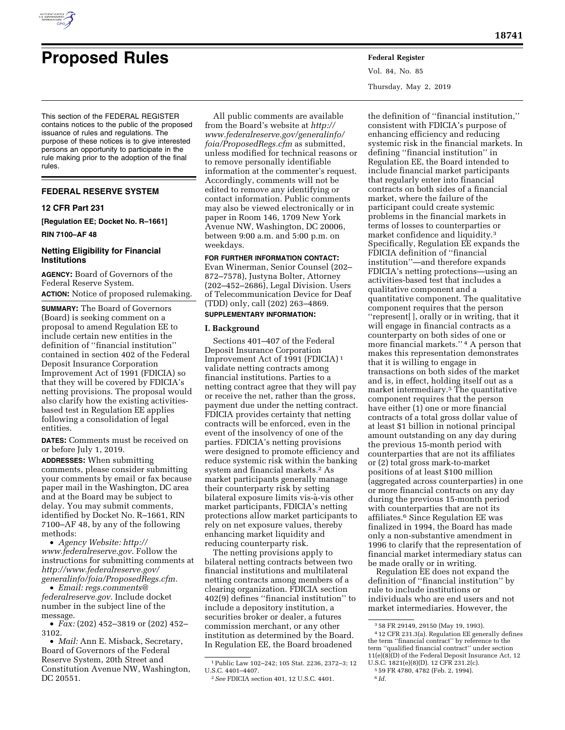

# **Proposed Rules Federal Register**

Vol. 84, No. 85 Thursday, May 2, 2019

This section of the FEDERAL REGISTER contains notices to the public of the proposed issuance of rules and regulations. The purpose of these notices is to give interested persons an opportunity to participate in the rule making prior to the adoption of the final rules.

## **FEDERAL RESERVE SYSTEM**

#### **12 CFR Part 231**

**[Regulation EE; Docket No. R–1661]** 

**RIN 7100–AF 48** 

#### **Netting Eligibility for Financial Institutions**

**AGENCY:** Board of Governors of the Federal Reserve System. **ACTION:** Notice of proposed rulemaking.

**SUMMARY:** The Board of Governors (Board) is seeking comment on a proposal to amend Regulation EE to include certain new entities in the definition of ''financial institution'' contained in section 402 of the Federal Deposit Insurance Corporation Improvement Act of 1991 (FDICIA) so that they will be covered by FDICIA's netting provisions. The proposal would also clarify how the existing activitiesbased test in Regulation EE applies following a consolidation of legal entities.

**DATES:** Comments must be received on or before July 1, 2019.

**ADDRESSES:** When submitting comments, please consider submitting your comments by email or fax because paper mail in the Washington, DC area and at the Board may be subject to delay. You may submit comments, identified by Docket No. R–1661, RIN 7100–AF 48, by any of the following methods:

• *Agency Website: [http://](http://www.federalreserve.gov) [www.federalreserve.gov.](http://www.federalreserve.gov)* Follow the instructions for submitting comments at *[http://www.federalreserve.gov/](http://www.federalreserve.gov/generalinfo/foia/ProposedRegs.cfm)  [generalinfo/foia/ProposedRegs.cfm.](http://www.federalreserve.gov/generalinfo/foia/ProposedRegs.cfm)* 

• *Email: [regs.comments@](mailto:regs.comments@federalreserve.gov) [federalreserve.gov.](mailto:regs.comments@federalreserve.gov)* Include docket number in the subject line of the message.

• *Fax:* (202) 452–3819 or (202) 452– 3102.

• *Mail:* Ann E. Misback, Secretary, Board of Governors of the Federal Reserve System, 20th Street and Constitution Avenue NW, Washington, DC 20551.

All public comments are available from the Board's website at *[http://](http://www.federalreserve.gov/generalinfo/foia/ProposedRegs.cfm) [www.federalreserve.gov/generalinfo/](http://www.federalreserve.gov/generalinfo/foia/ProposedRegs.cfm) [foia/ProposedRegs.cfm](http://www.federalreserve.gov/generalinfo/foia/ProposedRegs.cfm)* as submitted, unless modified for technical reasons or to remove personally identifiable information at the commenter's request. Accordingly, comments will not be edited to remove any identifying or contact information. Public comments may also be viewed electronically or in paper in Room 146, 1709 New York Avenue NW, Washington, DC 20006, between 9:00 a.m. and 5:00 p.m. on weekdays.

## **FOR FURTHER INFORMATION CONTACT:**

Evan Winerman, Senior Counsel (202– 872–7578), Justyna Bolter, Attorney (202–452–2686), Legal Division. Users of Telecommunication Device for Deaf (TDD) only, call (202) 263–4869.

# **SUPPLEMENTARY INFORMATION:**

#### **I. Background**

Sections 401–407 of the Federal Deposit Insurance Corporation Improvement Act of 1991 (FDICIA) 1 validate netting contracts among financial institutions. Parties to a netting contract agree that they will pay or receive the net, rather than the gross, payment due under the netting contract. FDICIA provides certainty that netting contracts will be enforced, even in the event of the insolvency of one of the parties. FDICIA's netting provisions were designed to promote efficiency and reduce systemic risk within the banking system and financial markets.2 As market participants generally manage their counterparty risk by setting bilateral exposure limits vis-à-vis other market participants, FDICIA's netting protections allow market participants to rely on net exposure values, thereby enhancing market liquidity and reducing counterparty risk.

The netting provisions apply to bilateral netting contracts between two financial institutions and multilateral netting contracts among members of a clearing organization. FDICIA section 402(9) defines ''financial institution'' to include a depository institution, a securities broker or dealer, a futures commission merchant, or any other institution as determined by the Board. In Regulation EE, the Board broadened

the definition of ''financial institution,'' consistent with FDICIA's purpose of enhancing efficiency and reducing systemic risk in the financial markets. In defining ''financial institution'' in Regulation EE, the Board intended to include financial market participants that regularly enter into financial contracts on both sides of a financial market, where the failure of the participant could create systemic problems in the financial markets in terms of losses to counterparties or market confidence and liquidity.3 Specifically, Regulation EE expands the FDICIA definition of ''financial institution''—and therefore expands FDICIA's netting protections—using an activities-based test that includes a qualitative component and a quantitative component. The qualitative component requires that the person ''represent[ ], orally or in writing, that it will engage in financial contracts as a counterparty on both sides of one or more financial markets.'' 4 A person that makes this representation demonstrates that it is willing to engage in transactions on both sides of the market and is, in effect, holding itself out as a market intermediary.5 The quantitative component requires that the person have either (1) one or more financial contracts of a total gross dollar value of at least \$1 billion in notional principal amount outstanding on any day during the previous 15-month period with counterparties that are not its affiliates or (2) total gross mark-to-market positions of at least \$100 million (aggregated across counterparties) in one or more financial contracts on any day during the previous 15-month period with counterparties that are not its affiliates.6 Since Regulation EE was finalized in 1994, the Board has made only a non-substantive amendment in 1996 to clarify that the representation of financial market intermediary status can be made orally or in writing.

Regulation EE does not expand the definition of ''financial institution'' by rule to include institutions or individuals who are end users and not market intermediaries. However, the

<sup>1</sup>Public Law 102–242; 105 Stat. 2236, 2372–3; 12 U.S.C. 4401–4407.

<sup>2</sup>*See* FDICIA section 401, 12 U.S.C. 4401.

<sup>3</sup> 58 FR 29149, 29150 (May 19, 1993).

<sup>4</sup> 12 CFR 231.3(a). Regulation EE generally defines the term ''financial contract'' by reference to the term ''qualified financial contract'' under section 11(e)(8)(D) of the Federal Deposit Insurance Act, 12 U.S.C. 1821(e)(8)(D). 12 CFR 231.2(c). 5 59 FR 4780, 4782 (Feb. 2, 1994).

<sup>6</sup> *Id.*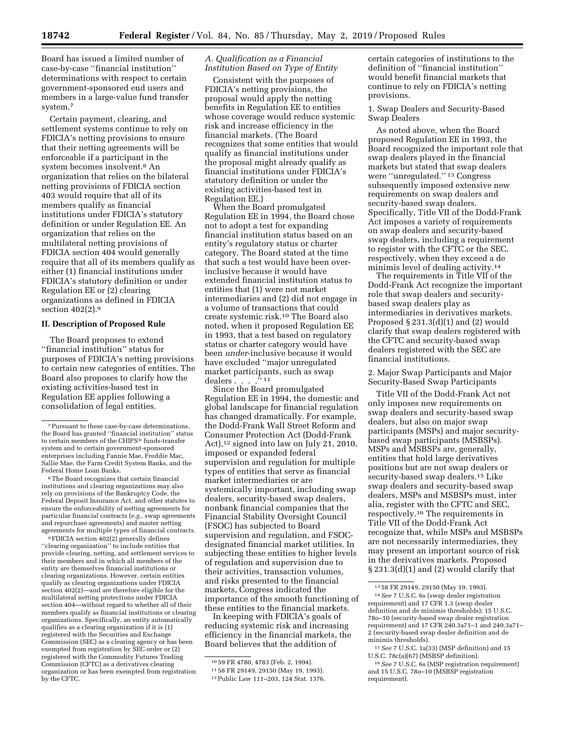Board has issued a limited number of case-by-case ''financial institution'' determinations with respect to certain government-sponsored end users and members in a large-value fund transfer system.7

Certain payment, clearing, and settlement systems continue to rely on FDICIA's netting provisions to ensure that their netting agreements will be enforceable if a participant in the system becomes insolvent.8 An organization that relies on the bilateral netting provisions of FDICIA section 403 would require that all of its members qualify as financial institutions under FDICIA's statutory definition or under Regulation EE. An organization that relies on the multilateral netting provisions of FDICIA section 404 would generally require that all of its members qualify as either (1) financial institutions under FDICIA's statutory definition or under Regulation EE or (2) clearing organizations as defined in FDICIA section 402(2).9

## **II. Description of Proposed Rule**

The Board proposes to extend ''financial institution'' status for purposes of FDICIA's netting provisions to certain new categories of entities. The Board also proposes to clarify how the existing activities-based test in Regulation EE applies following a consolidation of legal entities.

8The Board recognizes that certain financial institutions and clearing organizations may also rely on provisions of the Bankruptcy Code, the Federal Deposit Insurance Act, and other statutes to ensure the enforceability of netting agreements for particular financial contracts (*e.g.,* swap agreements and repurchase agreements) and master netting agreements for multiple types of financial contracts.

9FDICIA section 402(2) generally defines ''clearing organization'' to include entities that provide clearing, netting, and settlement services to their members and in which all members of the entity are themselves financial institutions or clearing organizations. However, certain entities qualify as clearing organizations under FDICIA section 402(2)—and are therefore eligible for the multilateral netting protections under FDICIA section 404—without regard to whether all of their members qualify as financial institutions or clearing organizations. Specifically, an entity automatically qualifies as a clearing organization if it is (1) registered with the Securities and Exchange Commission (SEC) as a clearing agency or has been exempted from registration by SEC order or (2) registered with the Commodity Futures Trading Commission (CFTC) as a derivatives clearing organization or has been exempted from registration by the CFTC.

#### *A. Qualification as a Financial Institution Based on Type of Entity*

Consistent with the purposes of FDICIA's netting provisions, the proposal would apply the netting benefits in Regulation EE to entities whose coverage would reduce systemic risk and increase efficiency in the financial markets. (The Board recognizes that some entities that would qualify as financial institutions under the proposal might already qualify as financial institutions under FDICIA's statutory definition or under the existing activities-based test in Regulation EE.)

When the Board promulgated Regulation EE in 1994, the Board chose not to adopt a test for expanding financial institution status based on an entity's regulatory status or charter category. The Board stated at the time that such a test would have been overinclusive because it would have extended financial institution status to entities that (1) were not market intermediaries and (2) did not engage in a volume of transactions that could create systemic risk.10 The Board also noted, when it proposed Regulation EE in 1993, that a test based on regulatory status or charter category would have been *under*-inclusive because it would have excluded ''major unregulated market participants, such as swap dealers . . . .'' 11

Since the Board promulgated Regulation EE in 1994, the domestic and global landscape for financial regulation has changed dramatically. For example, the Dodd-Frank Wall Street Reform and Consumer Protection Act (Dodd-Frank Act),<sup>12</sup> signed into law on July 21, 2010, imposed or expanded federal supervision and regulation for multiple types of entities that serve as financial market intermediaries or are systemically important, including swap dealers, security-based swap dealers, nonbank financial companies that the Financial Stability Oversight Council (FSOC) has subjected to Board supervision and regulation, and FSOCdesignated financial market utilities. In subjecting these entities to higher levels of regulation and supervision due to their activities, transaction volumes, and risks presented to the financial markets, Congress indicated the importance of the smooth functioning of these entities to the financial markets.

In keeping with FDICIA's goals of reducing systemic risk and increasing efficiency in the financial markets, the Board believes that the addition of

certain categories of institutions to the definition of ''financial institution'' would benefit financial markets that continue to rely on FDICIA's netting provisions.

1. Swap Dealers and Security-Based Swap Dealers

As noted above, when the Board proposed Regulation EE in 1993, the Board recognized the important role that swap dealers played in the financial markets but stated that swap dealers were ''unregulated.'' 13 Congress subsequently imposed extensive new requirements on swap dealers and security-based swap dealers. Specifically, Title VII of the Dodd-Frank Act imposes a variety of requirements on swap dealers and security-based swap dealers, including a requirement to register with the CFTC or the SEC, respectively, when they exceed a de minimis level of dealing activity.14

The requirements in Title VII of the Dodd-Frank Act recognize the important role that swap dealers and securitybased swap dealers play as intermediaries in derivatives markets. Proposed  $\S 231.3(d)(1)$  and (2) would clarify that swap dealers registered with the CFTC and security-based swap dealers registered with the SEC are financial institutions.

2. Major Swap Participants and Major Security-Based Swap Participants

Title VII of the Dodd-Frank Act not only imposes new requirements on swap dealers and security-based swap dealers, but also on major swap participants (MSPs) and major securitybased swap participants (MSBSPs). MSPs and MSBSPs are, generally, entities that hold large derivatives positions but are not swap dealers or security-based swap dealers.15 Like swap dealers and security-based swap dealers, MSPs and MSBSPs must, inter alia, register with the CFTC and SEC, respectively.16 The requirements in Title VII of the Dodd-Frank Act recognize that, while MSPs and MSBSPs are not necessarily intermediaries, they may present an important source of risk in the derivatives markets. Proposed § 231.3(d)(1) and (2) would clarify that

<sup>7</sup>Pursuant to these case-by-case determinations, the Board has granted ''financial institution'' status to certain members of the CHIPS® funds-transfer system and to certain government-sponsored enterprises including Fannie Mae, Freddie Mac, Sallie Mae, the Farm Credit System Banks, and the Federal Home Loan Banks.

<sup>10</sup> 59 FR 4780, 4783 (Feb. 2, 1994). 11 58 FR 29149, 29150 (May 19, 1993).

<sup>12</sup>Public Law 111–203, 124 Stat. 1376.

<sup>13</sup> 58 FR 29149, 29150 (May 19, 1993).

<sup>14</sup>*See* 7 U.S.C. 6s (swap dealer registration requirement) and 17 CFR 1.3 (swap dealer definition and de minimis thresholds); 15 U.S.C. 78o–10 (security-based swap dealer registration requirement) and 17 CFR 240.3a71–1 and 240.3a71– 2 (security-based swap dealer definition and de minimis thresholds).

<sup>15</sup>*See* 7 U.S.C. 1a(33) (MSP definition) and 15 U.S.C. 78c(a)(67) (MSBSP definition).

<sup>16</sup>*See* 7 U.S.C. 6s (MSP registration requirement) and 15 U.S.C. 78o–10 (MSBSP registration requirement).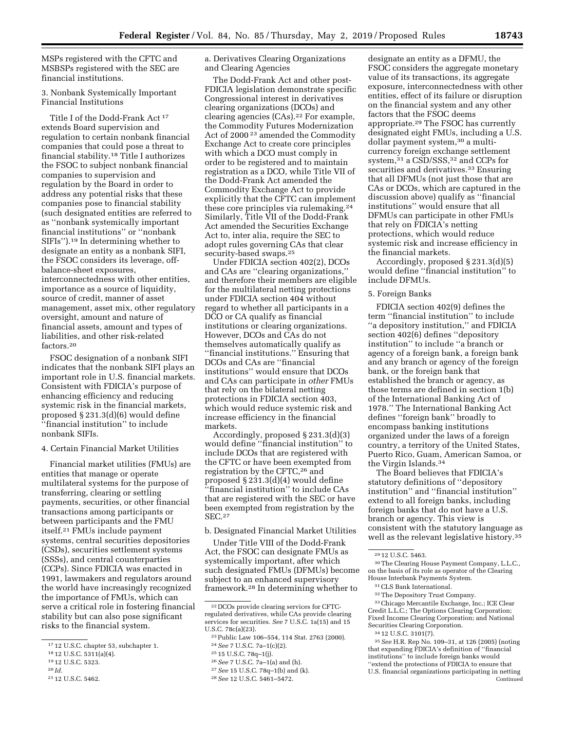MSPs registered with the CFTC and MSBSPs registered with the SEC are financial institutions.

### 3. Nonbank Systemically Important Financial Institutions

Title I of the Dodd-Frank Act 17 extends Board supervision and regulation to certain nonbank financial companies that could pose a threat to financial stability.18 Title I authorizes the FSOC to subject nonbank financial companies to supervision and regulation by the Board in order to address any potential risks that these companies pose to financial stability (such designated entities are referred to as ''nonbank systemically important financial institutions'' or ''nonbank SIFIs'').19 In determining whether to designate an entity as a nonbank SIFI, the FSOC considers its leverage, offbalance-sheet exposures, interconnectedness with other entities, importance as a source of liquidity, source of credit, manner of asset management, asset mix, other regulatory oversight, amount and nature of financial assets, amount and types of liabilities, and other risk-related factors.20

FSOC designation of a nonbank SIFI indicates that the nonbank SIFI plays an important role in U.S. financial markets. Consistent with FDICIA's purpose of enhancing efficiency and reducing systemic risk in the financial markets, proposed § 231.3(d)(6) would define ''financial institution'' to include nonbank SIFIs.

#### 4. Certain Financial Market Utilities

Financial market utilities (FMUs) are entities that manage or operate multilateral systems for the purpose of transferring, clearing or settling payments, securities, or other financial transactions among participants or between participants and the FMU itself.21 FMUs include payment systems, central securities depositories (CSDs), securities settlement systems (SSSs), and central counterparties (CCPs). Since FDICIA was enacted in 1991, lawmakers and regulators around the world have increasingly recognized the importance of FMUs, which can serve a critical role in fostering financial stability but can also pose significant risks to the financial system.

19 12 U.S.C. 5323.

a. Derivatives Clearing Organizations and Clearing Agencies

The Dodd-Frank Act and other post-FDICIA legislation demonstrate specific Congressional interest in derivatives clearing organizations (DCOs) and clearing agencies (CAs).22 For example, the Commodity Futures Modernization Act of 2000<sup>23</sup> amended the Commodity Exchange Act to create core principles with which a DCO must comply in order to be registered and to maintain registration as a DCO, while Title VII of the Dodd-Frank Act amended the Commodity Exchange Act to provide explicitly that the CFTC can implement these core principles via rulemaking.24 Similarly, Title VII of the Dodd-Frank Act amended the Securities Exchange Act to, inter alia, require the SEC to adopt rules governing CAs that clear security-based swaps.25

Under FDICIA section 402(2), DCOs and CAs are ''clearing organizations,'' and therefore their members are eligible for the multilateral netting protections under FDICIA section 404 without regard to whether all participants in a DCO or CA qualify as financial institutions or clearing organizations. However, DCOs and CAs do not themselves automatically qualify as ''financial institutions.'' Ensuring that DCOs and CAs are ''financial institutions'' would ensure that DCOs and CAs can participate in *other* FMUs that rely on the bilateral netting protections in FDICIA section 403, which would reduce systemic risk and increase efficiency in the financial markets.

Accordingly, proposed § 231.3(d)(3) would define ''financial institution'' to include DCOs that are registered with the CFTC or have been exempted from registration by the CFTC,26 and proposed § 231.3(d)(4) would define ''financial institution'' to include CAs that are registered with the SEC or have been exempted from registration by the SEC.27

b. Designated Financial Market Utilities

Under Title VIII of the Dodd-Frank Act, the FSOC can designate FMUs as systemically important, after which such designated FMUs (DFMUs) become subject to an enhanced supervisory framework.28 In determining whether to

- 26*See* 7 U.S.C. 7a–1(a) and (h).
- 27*See* 15 U.S.C. 78q–1(b) and (k).

designate an entity as a DFMU, the FSOC considers the aggregate monetary value of its transactions, its aggregate exposure, interconnectedness with other entities, effect of its failure or disruption on the financial system and any other factors that the FSOC deems appropriate.29 The FSOC has currently designated eight FMUs, including a U.S. dollar payment system,<sup>30</sup> a multicurrency foreign exchange settlement system,<sup>31</sup> a CSD/SSS,<sup>32</sup> and CCPs for securities and derivatives.<sup>33</sup> Ensuring that all DFMUs (not just those that are CAs or DCOs, which are captured in the discussion above) qualify as ''financial institutions'' would ensure that all DFMUs can participate in other FMUs that rely on FDICIA's netting protections, which would reduce systemic risk and increase efficiency in the financial markets.

Accordingly, proposed § 231.3(d)(5) would define ''financial institution'' to include DFMUs.

#### 5. Foreign Banks

FDICIA section 402(9) defines the term ''financial institution'' to include ''a depository institution,'' and FDICIA section 402(6) defines ''depository institution'' to include ''a branch or agency of a foreign bank, a foreign bank and any branch or agency of the foreign bank, or the foreign bank that established the branch or agency, as those terms are defined in section 1(b) of the International Banking Act of 1978.'' The International Banking Act defines ''foreign bank'' broadly to encompass banking institutions organized under the laws of a foreign country, a territory of the United States, Puerto Rico, Guam, American Samoa, or the Virgin Islands.34

The Board believes that FDICIA's statutory definitions of ''depository institution'' and ''financial institution'' extend to all foreign banks, including foreign banks that do not have a U.S. branch or agency. This view is consistent with the statutory language as well as the relevant legislative history.<sup>35</sup>

30The Clearing House Payment Company, L.L.C., on the basis of its role as operator of the Clearing House Interbank Payments System.

33Chicago Mercantile Exchange, Inc.; ICE Clear Credit L.L.C.; The Options Clearing Corporation; Fixed Income Clearing Corporation; and National Securities Clearing Corporation.

35*See* H.R. Rep No. 109–31, at 126 (2005) (noting that expanding FDICIA's definition of ''financial institutions'' to include foreign banks would ''extend the protections of FDICIA to ensure that U.S. financial organizations participating in netting Continued

<sup>17</sup> 12 U.S.C. chapter 53, subchapter 1.

<sup>18</sup> 12 U.S.C. 5311(a)(4).

<sup>20</sup> *Id.* 

<sup>21</sup> 12 U.S.C. 5462.

<sup>22</sup> DCOs provide clearing services for CFTCregulated derivatives, while CAs provide clearing services for securities. *See* 7 U.S.C. 1a(15) and 15 U.S.C. 78c(a)(23).

<sup>23</sup>Public Law 106–554, 114 Stat. 2763 (2000). 24*See* 7 U.S.C. 7a–1(c)(2).

<sup>25</sup> 15 U.S.C. 78q–1(j).

<sup>28</sup>*See* 12 U.S.C. 5461–5472.

<sup>29</sup> 12 U.S.C. 5463.

<sup>31</sup>CLS Bank International.

<sup>32</sup>The Depository Trust Company.

<sup>34</sup> 12 U.S.C. 3101(7).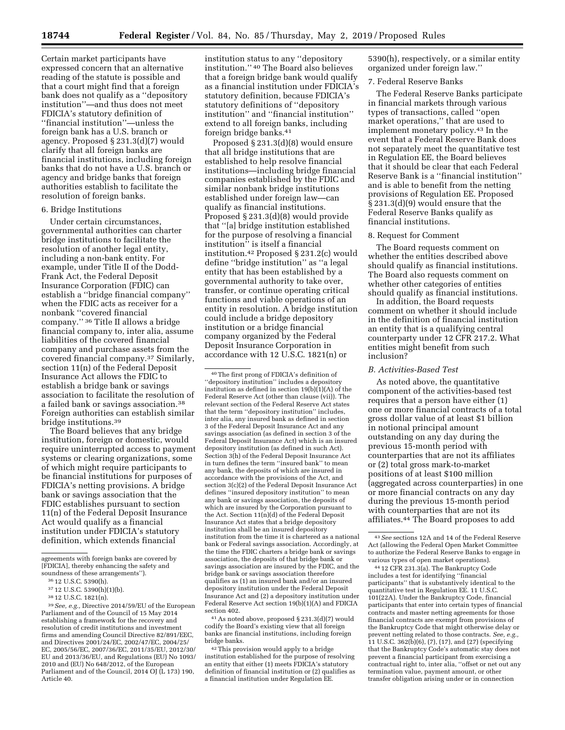Certain market participants have expressed concern that an alternative reading of the statute is possible and that a court might find that a foreign bank does not qualify as a ''depository institution''—and thus does not meet FDICIA's statutory definition of ''financial institution''—unless the foreign bank has a U.S. branch or agency. Proposed § 231.3(d)(7) would clarify that all foreign banks are financial institutions, including foreign banks that do not have a U.S. branch or agency and bridge banks that foreign authorities establish to facilitate the resolution of foreign banks.

#### 6. Bridge Institutions

Under certain circumstances, governmental authorities can charter bridge institutions to facilitate the resolution of another legal entity, including a non-bank entity. For example, under Title II of the Dodd-Frank Act, the Federal Deposit Insurance Corporation (FDIC) can establish a ''bridge financial company'' when the FDIC acts as receiver for a nonbank ''covered financial company.'' 36 Title II allows a bridge financial company to, inter alia, assume liabilities of the covered financial company and purchase assets from the covered financial company.37 Similarly, section 11(n) of the Federal Deposit Insurance Act allows the FDIC to establish a bridge bank or savings association to facilitate the resolution of a failed bank or savings association.38 Foreign authorities can establish similar bridge institutions.39

The Board believes that any bridge institution, foreign or domestic, would require uninterrupted access to payment systems or clearing organizations, some of which might require participants to be financial institutions for purposes of FDICIA's netting provisions. A bridge bank or savings association that the FDIC establishes pursuant to section 11(n) of the Federal Deposit Insurance Act would qualify as a financial institution under FDICIA's statutory definition, which extends financial

39*See, e.g.,* Directive 2014/59/EU of the European Parliament and of the Council of 15 May 2014 establishing a framework for the recovery and resolution of credit institutions and investment firms and amending Council Directive 82/891/EEC, and Directives 2001/24/EC, 2002/47/EC, 2004/25/ EC, 2005/56/EC, 2007/36/EC, 2011/35/EU, 2012/30/ EU and 2013/36/EU, and Regulations (EU) No 1093/ 2010 and (EU) No 648/2012, of the European Parliament and of the Council, 2014 OJ (L 173) 190, Article 40.

institution status to any ''depository institution.'' 40 The Board also believes that a foreign bridge bank would qualify as a financial institution under FDICIA's statutory definition, because FDICIA's statutory definitions of ''depository institution'' and ''financial institution'' extend to all foreign banks, including foreign bridge banks.41

Proposed § 231.3(d)(8) would ensure that all bridge institutions that are established to help resolve financial institutions—including bridge financial companies established by the FDIC and similar nonbank bridge institutions established under foreign law—can qualify as financial institutions. Proposed § 231.3(d)(8) would provide that ''[a] bridge institution established for the purpose of resolving a financial institution'' is itself a financial institution.42 Proposed § 231.2(c) would define ''bridge institution'' as ''a legal entity that has been established by a governmental authority to take over, transfer, or continue operating critical functions and viable operations of an entity in resolution. A bridge institution could include a bridge depository institution or a bridge financial company organized by the Federal Deposit Insurance Corporation in accordance with 12 U.S.C. 1821(n) or

40The first prong of FDICIA's definition of ''depository institution'' includes a depository institution as defined in section  $19(b)(1)(A)$  of the Federal Reserve Act (other than clause (vii)). The relevant section of the Federal Reserve Act states that the term ''depository institution'' includes, inter alia, any insured bank as defined in section 3 of the Federal Deposit Insurance Act and any savings association (as defined in section 3 of the Federal Deposit Insurance Act) which is an insured depository institution (as defined in such Act). Section 3(h) of the Federal Deposit Insurance Act in turn defines the term ''insured bank'' to mean any bank, the deposits of which are insured in accordance with the provisions of the Act, and section 3(c)(2) of the Federal Deposit Insurance Act defines ''insured depository institution'' to mean any bank or savings association, the deposits of which are insured by the Corporation pursuant to the Act. Section 11(n)(d) of the Federal Deposit Insurance Act states that a bridge depository institution shall be an insured depository institution from the time it is chartered as a national bank or Federal savings association. Accordingly, at the time the FDIC charters a bridge bank or savings association, the deposits of that bridge bank or savings association are insured by the FDIC, and the bridge bank or savings association therefore qualifies as (1) an insured bank and/or an insured depository institution under the Federal Deposit Insurance Act and (2) a depository institution under Federal Reserve Act section 19(b)(1)(A) and FDICIA section 402.

41As noted above, proposed § 231.3(d)(7) would codify the Board's existing view that all foreign banks are financial institutions, including foreign bridge banks.

42This provision would apply to a bridge institution established for the purpose of resolving an entity that either (1) meets FDICIA's statutory definition of financial institution or (2) qualifies as a financial institution under Regulation EE.

5390(h), respectively, or a similar entity organized under foreign law.''

#### 7. Federal Reserve Banks

The Federal Reserve Banks participate in financial markets through various types of transactions, called ''open market operations,'' that are used to implement monetary policy.43 In the event that a Federal Reserve Bank does not separately meet the quantitative test in Regulation EE, the Board believes that it should be clear that each Federal Reserve Bank is a ''financial institution'' and is able to benefit from the netting provisions of Regulation EE. Proposed § 231.3(d)(9) would ensure that the Federal Reserve Banks qualify as financial institutions.

#### 8. Request for Comment

The Board requests comment on whether the entities described above should qualify as financial institutions. The Board also requests comment on whether other categories of entities should qualify as financial institutions.

In addition, the Board requests comment on whether it should include in the definition of financial institution an entity that is a qualifying central counterparty under 12 CFR 217.2. What entities might benefit from such inclusion?

#### *B. Activities-Based Test*

As noted above, the quantitative component of the activities-based test requires that a person have either (1) one or more financial contracts of a total gross dollar value of at least \$1 billion in notional principal amount outstanding on any day during the previous 15-month period with counterparties that are not its affiliates or (2) total gross mark-to-market positions of at least \$100 million (aggregated across counterparties) in one or more financial contracts on any day during the previous 15-month period with counterparties that are not its affiliates.44 The Board proposes to add

44 12 CFR 231.3(a). The Bankruptcy Code includes a test for identifying ''financial participants'' that is substantively identical to the quantitative test in Regulation EE. 11 U.S.C. 101(22A). Under the Bankruptcy Code, financial participants that enter into certain types of financial contracts and master netting agreements for those financial contracts are exempt from provisions of the Bankruptcy Code that might otherwise delay or prevent netting related to those contracts. *See, e.g.,*  11 U.S.C. 362(b)(6), (7), (17), and (27) (specifying that the Bankruptcy Code's automatic stay does not prevent a financial participant from exercising a contractual right to, inter alia, ''offset or net out any termination value, payment amount, or other transfer obligation arising under or in connection

agreements with foreign banks are covered by [FDICIA], thereby enhancing the safety and soundness of these arrangements'').

<sup>36</sup> 12 U.S.C. 5390(h).

<sup>37</sup> 12 U.S.C. 5390(h)(1)(b).

<sup>38</sup> 12 U.S.C. 1821(n).

<sup>43</sup>*See* sections 12A and 14 of the Federal Reserve Act (allowing the Federal Open Market Committee to authorize the Federal Reserve Banks to engage in various types of open market operations).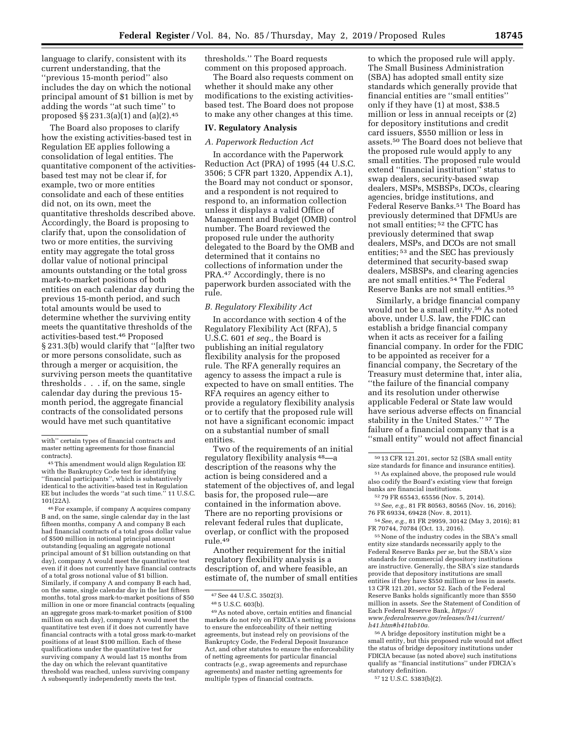language to clarify, consistent with its current understanding, that the ''previous 15-month period'' also includes the day on which the notional principal amount of \$1 billion is met by adding the words ''at such time'' to proposed §§ 231.3(a)(1) and (a)(2).45

The Board also proposes to clarify how the existing activities-based test in Regulation EE applies following a consolidation of legal entities. The quantitative component of the activitiesbased test may not be clear if, for example, two or more entities consolidate and each of these entities did not, on its own, meet the quantitative thresholds described above. Accordingly, the Board is proposing to clarify that, upon the consolidation of two or more entities, the surviving entity may aggregate the total gross dollar value of notional principal amounts outstanding or the total gross mark-to-market positions of both entities on each calendar day during the previous 15-month period, and such total amounts would be used to determine whether the surviving entity meets the quantitative thresholds of the activities-based test.46 Proposed § 231.3(b) would clarify that ''[a]fter two or more persons consolidate, such as through a merger or acquisition, the surviving person meets the quantitative thresholds . . . if, on the same, single calendar day during the previous 15 month period, the aggregate financial contracts of the consolidated persons would have met such quantitative

46For example, if company A acquires company B and, on the same, single calendar day in the last fifteen months, company A and company B each had financial contracts of a total gross dollar value of \$500 million in notional principal amount outstanding (equaling an aggregate notional principal amount of \$1 billion outstanding on that day), company A would meet the quantitative test even if it does not currently have financial contracts of a total gross notional value of \$1 billion. Similarly, if company A and company B each had, on the same, single calendar day in the last fifteen months, total gross mark-to-market positions of \$50 million in one or more financial contracts (equaling an aggregate gross mark-to-market position of \$100 million on such day), company A would meet the quantitative test even if it does not currently have financial contracts with a total gross mark-to-market positions of at least \$100 million. Each of these qualifications under the quantitative test for surviving company A would last 15 months from the day on which the relevant quantitative threshold was reached, unless surviving company A subsequently independently meets the test.

thresholds.'' The Board requests comment on this proposed approach.

The Board also requests comment on whether it should make any other modifications to the existing activitiesbased test. The Board does not propose to make any other changes at this time.

#### **IV. Regulatory Analysis**

## *A. Paperwork Reduction Act*

In accordance with the Paperwork Reduction Act (PRA) of 1995 (44 U.S.C. 3506; 5 CFR part 1320, Appendix A.1), the Board may not conduct or sponsor, and a respondent is not required to respond to, an information collection unless it displays a valid Office of Management and Budget (OMB) control number. The Board reviewed the proposed rule under the authority delegated to the Board by the OMB and determined that it contains no collections of information under the PRA.47 Accordingly, there is no paperwork burden associated with the rule.

#### *B. Regulatory Flexibility Act*

In accordance with section 4 of the Regulatory Flexibility Act (RFA), 5 U.S.C. 601 *et seq.,* the Board is publishing an initial regulatory flexibility analysis for the proposed rule. The RFA generally requires an agency to assess the impact a rule is expected to have on small entities. The RFA requires an agency either to provide a regulatory flexibility analysis or to certify that the proposed rule will not have a significant economic impact on a substantial number of small entities.

Two of the requirements of an initial regulatory flexibility analysis 48—a description of the reasons why the action is being considered and a statement of the objectives of, and legal basis for, the proposed rule—are contained in the information above. There are no reporting provisions or relevant federal rules that duplicate, overlap, or conflict with the proposed rule.49

Another requirement for the initial regulatory flexibility analysis is a description of, and where feasible, an estimate of, the number of small entities

49As noted above, certain entities and financial markets do not rely on FDICIA's netting provisions to ensure the enforceability of their netting agreements, but instead rely on provisions of the Bankruptcy Code, the Federal Deposit Insurance Act, and other statutes to ensure the enforceability of netting agreements for particular financial contracts (*e.g.,* swap agreements and repurchase agreements) and master netting agreements for multiple types of financial contracts.

to which the proposed rule will apply. The Small Business Administration (SBA) has adopted small entity size standards which generally provide that financial entities are ''small entities'' only if they have (1) at most, \$38.5 million or less in annual receipts or (2) for depository institutions and credit card issuers, \$550 million or less in assets.50 The Board does not believe that the proposed rule would apply to any small entities. The proposed rule would extend ''financial institution'' status to swap dealers, security-based swap dealers, MSPs, MSBSPs, DCOs, clearing agencies, bridge institutions, and Federal Reserve Banks.51 The Board has previously determined that DFMUs are not small entities; 52 the CFTC has previously determined that swap dealers, MSPs, and DCOs are not small entities; 53 and the SEC has previously determined that security-based swap dealers, MSBSPs, and clearing agencies are not small entities.54 The Federal Reserve Banks are not small entities.55

Similarly, a bridge financial company would not be a small entity.56 As noted above, under U.S. law, the FDIC can establish a bridge financial company when it acts as receiver for a failing financial company. In order for the FDIC to be appointed as receiver for a financial company, the Secretary of the Treasury must determine that, inter alia, ''the failure of the financial company and its resolution under otherwise applicable Federal or State law would have serious adverse effects on financial stability in the United States.'' 57 The failure of a financial company that is a ''small entity'' would not affect financial

53*See, e.g.,* 81 FR 80563, 80565 (Nov. 16, 2016); 76 FR 69334, 69428 (Nov. 8, 2011).

55None of the industry codes in the SBA's small entity size standards necessarily apply to the Federal Reserve Banks *per se,* but the SBA's size standards for commercial depository institutions are instructive. Generally, the SBA's size standards provide that depository institutions are small entities if they have \$550 million or less in assets. 13 CFR 121.201, sector 52. Each of the Federal Reserve Banks holds significantly more than \$550 million in assets. *See* the Statement of Condition of Each Federal Reserve Bank, *[https://](https://www.federalreserve.gov/releases/h41/current/h41.htm#h41tab10a) [www.federalreserve.gov/releases/h41/current/](https://www.federalreserve.gov/releases/h41/current/h41.htm#h41tab10a)  [h41.htm#h41tab10a.](https://www.federalreserve.gov/releases/h41/current/h41.htm#h41tab10a)* 

56A bridge depository institution might be a small entity, but this proposed rule would not affect the status of bridge depository institutions under FDICIA because (as noted above) such institutions qualify as ''financial institutions'' under FDICIA's statutory definition.

57 12 U.S.C. 5383(b)(2).

with'' certain types of financial contracts and master netting agreements for those financial contracts).

<sup>45</sup>This amendment would align Regulation EE with the Bankruptcy Code test for identifying ''financial participants'', which is substantively identical to the activities-based test in Regulation EE but includes the words ''at such time.'' 11 U.S.C. 101(22A).

<sup>47</sup>See 44 U.S.C. 3502(3).

<sup>48</sup> 5 U.S.C. 603(b).

<sup>50</sup> 13 CFR 121.201, sector 52 (SBA small entity size standards for finance and insurance entities).

<sup>51</sup>As explained above, the proposed rule would also codify the Board's existing view that foreign banks are financial institutions.

<sup>52</sup> 79 FR 65543, 65556 (Nov. 5, 2014).

<sup>54</sup>*See, e.g.,* 81 FR 29959, 30142 (May 3, 2016); 81 FR 70744, 70784 (Oct. 13, 2016).